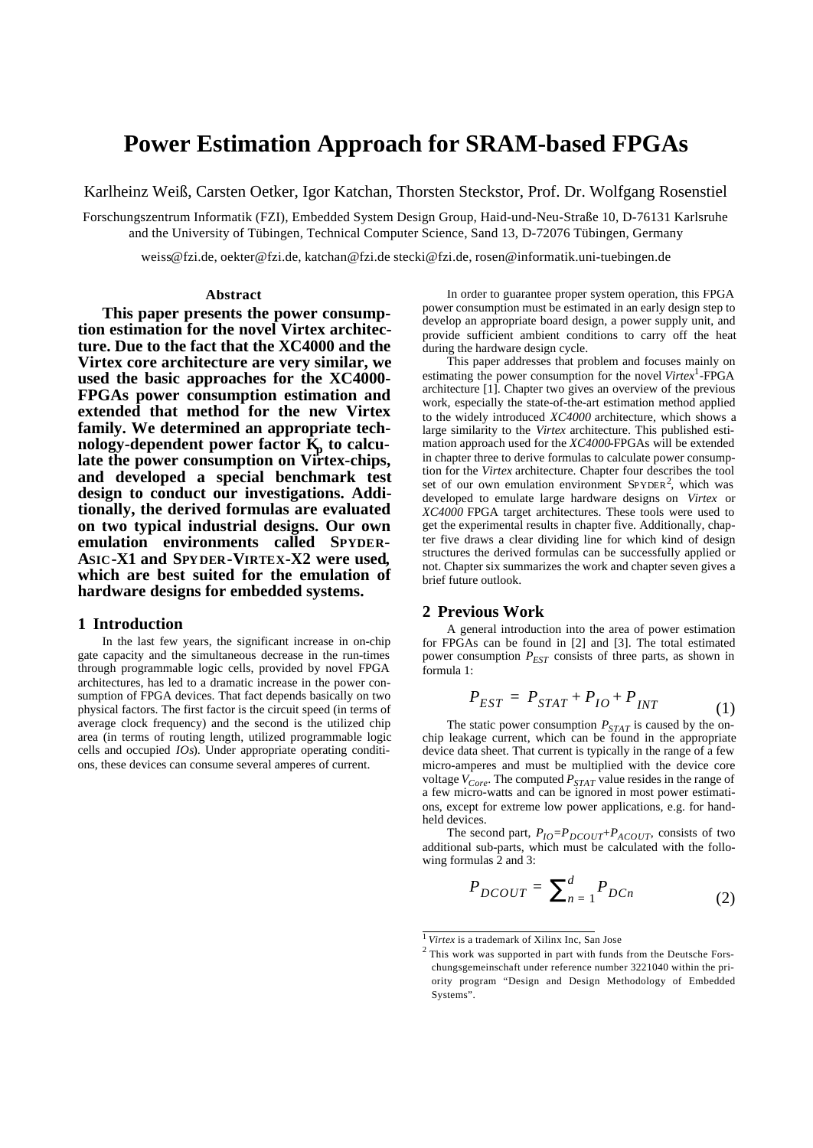## **Power Estimation Approach for SRAM-based FPGAs**

Karlheinz Weiß, Carsten Oetker, Igor Katchan, Thorsten Steckstor, Prof. Dr. Wolfgang Rosenstiel

Forschungszentrum Informatik (FZI), Embedded System Design Group, Haid-und-Neu-Straße 10, D-76131 Karlsruhe and the University of Tübingen, Technical Computer Science, Sand 13, D-72076 Tübingen, Germany

weiss@fzi.de, oekter@fzi.de, katchan@fzi.de stecki@fzi.de, rosen@informatik.uni-tuebingen.de

#### **Abstract**

**This paper presents the power consumption estimation for the novel Virtex architecture. Due to the fact that the XC4000 and the Virtex core architecture are very similar, we used the basic approaches for the XC4000- FPGAs power consumption estimation and extended that method for the new Virtex family. We determined an appropriate technology-dependent power factor K<sup>p</sup> to calculate the power consumption on Virtex-chips, and developed a special benchmark test design to conduct our investigations. Additionally, the derived formulas are evaluated on two typical industrial designs. Our own emulation environments called SPYDER-ASIC-X1 and SPYDER-VIRTEX-X2 were used, which are best suited for the emulation of hardware designs for embedded systems.** 

#### **1 Introduction**

In the last few years, the significant increase in on-chip gate capacity and the simultaneous decrease in the run-times through programmable logic cells, provided by novel FPGA architectures, has led to a dramatic increase in the power consumption of FPGA devices. That fact depends basically on two physical factors. The first factor is the circuit speed (in terms of average clock frequency) and the second is the utilized chip area (in terms of routing length, utilized programmable logic cells and occupied *IOs*). Under appropriate operating conditions, these devices can consume several amperes of current.

In order to guarantee proper system operation, this FPGA power consumption must be estimated in an early design step to develop an appropriate board design, a power supply unit, and provide sufficient ambient conditions to carry off the heat during the hardware design cycle.

This paper addresses that problem and focuses mainly on estimating the power consumption for the novel *Virtex*<sup>1</sup> -FPGA architecture [1]. Chapter two gives an overview of the previous work, especially the state-of-the-art estimation method applied to the widely introduced *XC4000* architecture, which shows a large similarity to the *Virtex* architecture. This published estimation approach used for the *XC4000*-FPGAs will be extended in chapter three to derive formulas to calculate power consumption for the *Virtex* architecture. Chapter four describes the tool set of our own emulation environment SPYDER<sup>2</sup>, which was developed to emulate large hardware designs on *Virtex* or *XC4000* FPGA target architectures. These tools were used to get the experimental results in chapter five. Additionally, chapter five draws a clear dividing line for which kind of design structures the derived formulas can be successfully applied or not. Chapter six summarizes the work and chapter seven gives a brief future outlook.

#### **2 Previous Work**

A general introduction into the area of power estimation for FPGAs can be found in [2] and [3]. The total estimated power consumption *PEST* consists of three parts, as shown in formula 1:

$$
P_{EST} = P_{STAT} + P_{IO} + P_{INT} \tag{1}
$$

The static power consumption *PSTAT* is caused by the onchip leakage current, which can be found in the appropriate device data sheet. That current is typically in the range of a few micro-amperes and must be multiplied with the device core voltage  $V_{Core}$ . The computed  $P_{STAT}$  value resides in the range of a few micro-watts and can be ignored in most power estimations, except for extreme low power applications, e.g. for handheld devices.

The second part,  $P_{IO} = P_{DCOUT} + P_{ACOUT}$ , consists of two additional sub-parts, which must be calculated with the following formulas 2 and 3:

$$
P_{DCOUT} = \sum_{n=1}^{d} P_{DCn} \tag{2}
$$

<sup>1</sup>*Virtex* is a trademark of Xilinx Inc, San Jose

 $2$  This work was supported in part with funds from the Deutsche Forschungsgemeinschaft under reference number 3221040 within the priority program "Design and Design Methodology of Embedded Systems".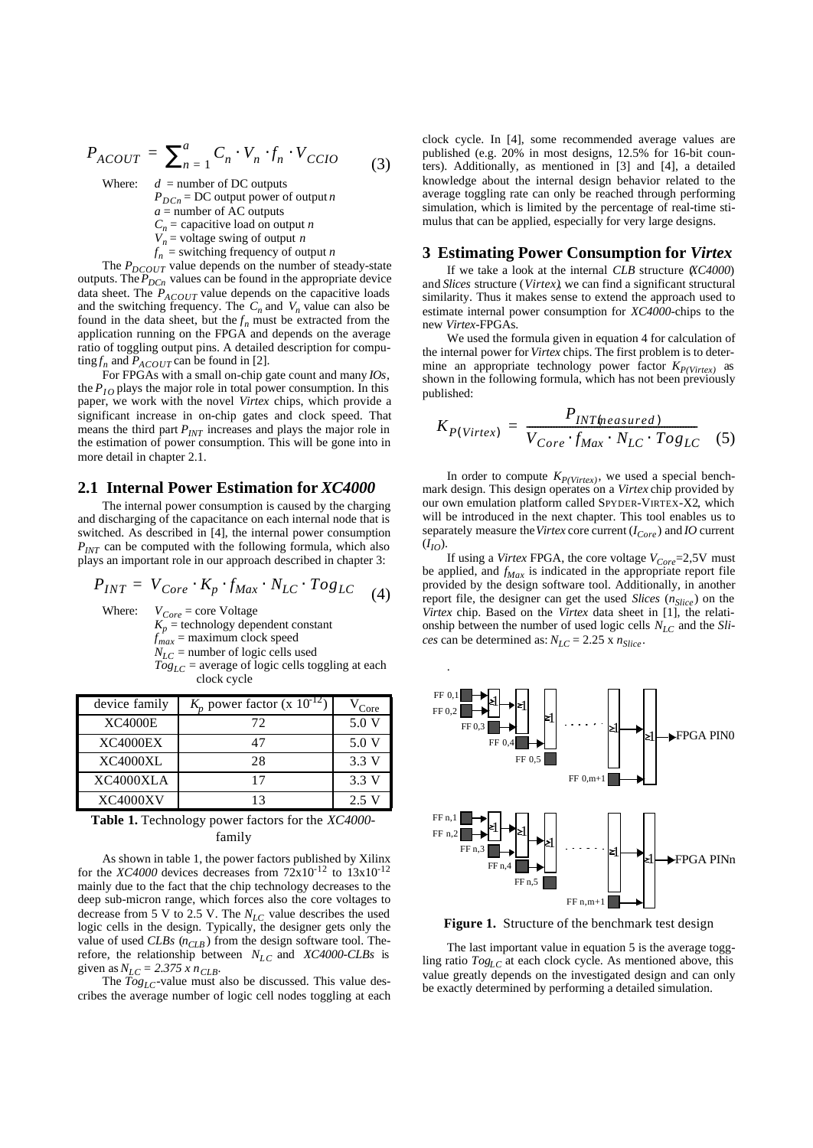$$
P_{ACOUT} = \sum_{n=1}^{a} C_n \cdot V_n \cdot f_n \cdot V_{CCIO}
$$
 (3)

Where:  $d =$  number of DC outputs

 $P_{DCn}$  = DC output power of output *n a* = number of AC outputs

*Cn* = capacitive load on output *n*  $V_n$  = voltage swing of output *n* 

 $f_n$  = switching frequency of output *n* 

The  $P_{DCOUT}$  value depends on the number of steady-state outputs. The  $P_{DCn}$  values can be found in the appropriate device data sheet. The *PACOUT* value depends on the capacitive loads and the switching frequency. The  $C_n$  and  $V_n$  value can also be found in the data sheet, but the  $f_n$  must be extracted from the application running on the FPGA and depends on the average ratio of toggling output pins. A detailed description for compu- $\int f_n$  and  $P_{ACOUT}$  can be found in [2].

For FPGAs with a small on-chip gate count and many *IOs*, the  $P_{IO}$  plays the major role in total power consumption. In this paper, we work with the novel *Virtex* chips, which provide a significant increase in on-chip gates and clock speed. That means the third part *PINT* increases and plays the major role in the estimation of power consumption. This will be gone into in more detail in chapter 2.1.

#### **2.1 Internal Power Estimation for** *XC4000*

The internal power consumption is caused by the charging and discharging of the capacitance on each internal node that is switched. As described in [4], the internal power consumption  $P_{INT}$  can be computed with the following formula, which also plays an important role in our approach described in chapter 3:

$$
P_{INT} = V_{Core} \cdot K_p \cdot f_{Max} \cdot N_{LC} \cdot Tog_{LC} \tag{4}
$$

Where:  $V_{Core} = \text{core Voltage}$ 

 $K_p$  = technology dependent constant  $f_{max}$  = maximum clock speed  $N_{LC}$  = number of logic cells used  $Tog<sub>LC</sub>$  = average of logic cells toggling at each clock cycle

| device family   | $K_p$ power factor (x 10 <sup>-12</sup> ) | Core  |
|-----------------|-------------------------------------------|-------|
| <b>XC4000E</b>  | 72                                        | 5.0 V |
| <b>XC4000EX</b> | 47                                        | 5.0 V |
| XC4000XL        | 28                                        | 3.3 V |
| XC4000XLA       | 17                                        | 3.3 V |
| <b>XC4000XV</b> | $\mathbf{z}$                              | 2.5 V |

**Table 1.** Technology power factors for the *XC4000* family

As shown in table 1, the power factors published by Xilinx for the *XC4000* devices decreases from  $72x10^{-12}$  to  $13x10^{-12}$ mainly due to the fact that the chip technology decreases to the deep sub-micron range, which forces also the core voltages to decrease from 5 V to 2.5 V. The *NLC* value describes the used logic cells in the design. Typically, the designer gets only the value of used *CLBs* ( $n_{CLB}$ ) from the design software tool. Therefore, the relationship between *NLC* and *XC4000-CLBs* is given as  $N_{LC} = 2.375 x n_{CLB}$ .

The *TogLC*-value must also be discussed. This value describes the average number of logic cell nodes toggling at each clock cycle. In [4], some recommended average values are published (e.g. 20% in most designs, 12.5% for 16-bit counters). Additionally, as mentioned in [3] and [4], a detailed knowledge about the internal design behavior related to the average toggling rate can only be reached through performing simulation, which is limited by the percentage of real-time stimulus that can be applied, especially for very large designs.

#### **3 Estimating Power Consumption for** *Virtex*

If we take a look at the internal *CLB* structure (*XC4000*) and *Slices* structure (*Virtex)*, we can find a significant structural similarity. Thus it makes sense to extend the approach used to estimate internal power consumption for *XC4000-*chips to the new *Virtex*-FPGAs.

We used the formula given in equation 4 for calculation of the internal power for *Virtex* chips. The first problem is to determine an appropriate technology power factor *KP(Virtex)* as shown in the following formula, which has not been previously published:

$$
K_{P(Virtex)} = \frac{P_{INT(measured)}}{V_{Core} \cdot f_{Max} \cdot N_{LC} \cdot Tog_{LC}}
$$
 (5)

In order to compute  $K_{P(Virtextrm{text}})$ , we used a special benchmark design. This design operates on a *Virtex* chip provided by our own emulation platform called SPYDER-VIRTEX-X2, which will be introduced in the next chapter. This tool enables us to separately measure the *Virtex* core current  $(I<sub>Core</sub>)$  and *IO* current  $(I_{IO})$ .

If using a *Virtex* FPGA, the core voltage *VCore*=2,5V must be applied, and *fMax* is indicated in the appropriate report file provided by the design software tool. Additionally, in another report file, the designer can get the used *Slices* (*nSlice* ) on the *Virtex* chip. Based on the *Virtex* data sheet in [1], the relationship between the number of used logic cells  $N_{LC}$  and the *Slices* can be determined as:  $N_{LC}$  = 2.25 x  $n_{Slice}$ .



**Figure 1.** Structure of the benchmark test design

The last important value in equation 5 is the average toggling ratio *TogLC* at each clock cycle. As mentioned above, this value greatly depends on the investigated design and can only be exactly determined by performing a detailed simulation.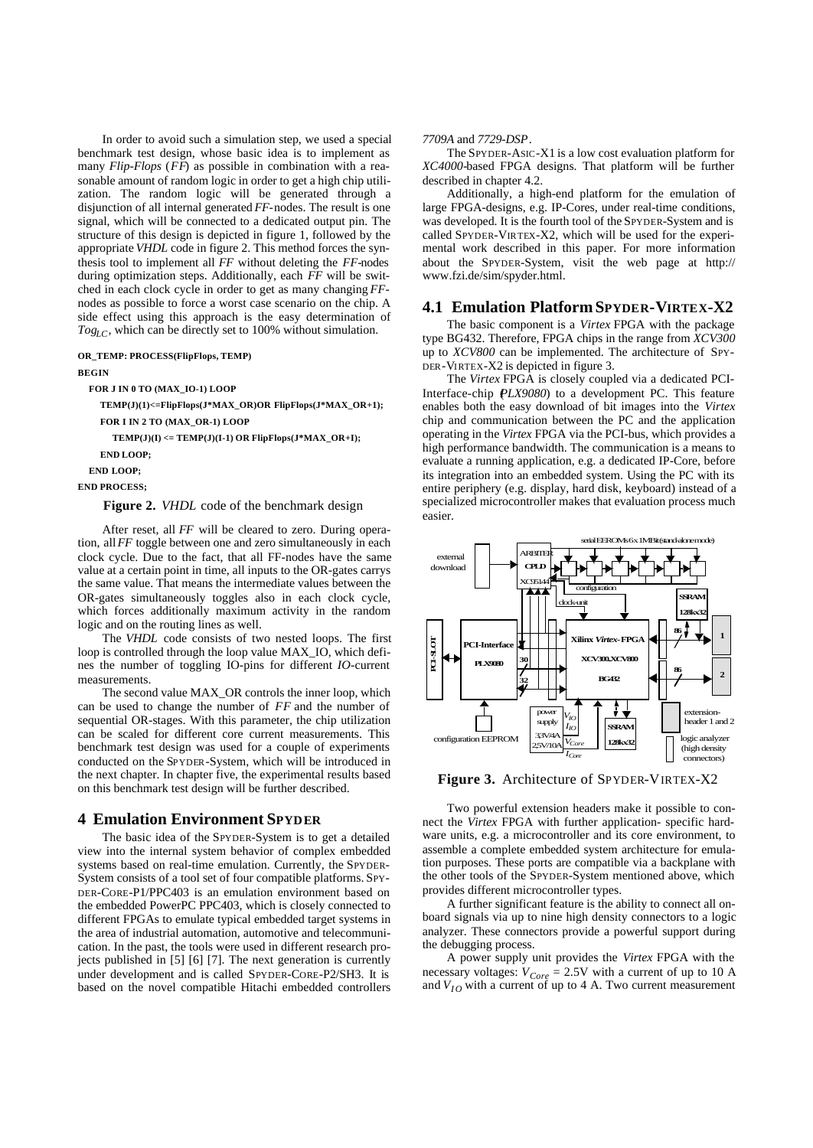In order to avoid such a simulation step, we used a special benchmark test design, whose basic idea is to implement as many *Flip-Flops* (*FF*) as possible in combination with a reasonable amount of random logic in order to get a high chip utilization. The random logic will be generated through a disjunction of all internal generated *FF-*nodes. The result is one signal, which will be connected to a dedicated output pin. The structure of this design is depicted in figure 1, followed by the appropriate *VHDL* code in figure 2. This method forces the synthesis tool to implement all *FF* without deleting the *FF-*nodes during optimization steps. Additionally, each *FF* will be switched in each clock cycle in order to get as many changing *FF*nodes as possible to force a worst case scenario on the chip. A side effect using this approach is the easy determination of *TogLC*, which can be directly set to 100% without simulation.

## **OR\_TEMP: PROCESS(FlipFlops, TEMP)**

**BEGIN**

**FOR J IN 0 TO (MAX\_IO-1) LOOP**

**TEMP(J)(1)<=FlipFlops(J\*MAX\_OR)OR FlipFlops(J\*MAX\_OR+1); FOR I IN 2 TO (MAX\_OR-1) LOOP**

 **TEMP(J)(I) <= TEMP(J)(I-1) OR FlipFlops(J\*MAX\_OR+I);**

 **END LOOP;**

 **END LOOP;**

**END PROCESS;**

**Figure 2.** *VHDL* code of the benchmark design

After reset, all *FF* will be cleared to zero. During operation, all *FF* toggle between one and zero simultaneously in each clock cycle. Due to the fact, that all FF-nodes have the same value at a certain point in time, all inputs to the OR-gates carrys the same value. That means the intermediate values between the OR-gates simultaneously toggles also in each clock cycle, which forces additionally maximum activity in the random logic and on the routing lines as well.

The *VHDL* code consists of two nested loops. The first loop is controlled through the loop value MAX\_IO, which defines the number of toggling IO-pins for different *IO-*current measurements.

The second value MAX OR controls the inner loop, which can be used to change the number of *FF* and the number of sequential OR-stages. With this parameter, the chip utilization can be scaled for different core current measurements. This benchmark test design was used for a couple of experiments conducted on the SPYDER-System, which will be introduced in the next chapter. In chapter five, the experimental results based on this benchmark test design will be further described.

#### **4 Emulation Environment SPYDER**

The basic idea of the SPYDER-System is to get a detailed view into the internal system behavior of complex embedded systems based on real-time emulation. Currently, the SPYDER-System consists of a tool set of four compatible platforms. SPY-DER-CORE-P1/PPC403 is an emulation environment based on the embedded PowerPC PPC403, which is closely connected to different FPGAs to emulate typical embedded target systems in the area of industrial automation, automotive and telecommunication. In the past, the tools were used in different research projects published in [5] [6] [7]. The next generation is currently under development and is called SPYDER-CORE-P2/SH3. It is based on the novel compatible Hitachi embedded controllers

#### *7709A* and *7729-DSP*.

The SPYDER-ASIC-X1 is a low cost evaluation platform for *XC4000-*based FPGA designs. That platform will be further described in chapter 4.2.

Additionally, a high-end platform for the emulation of large FPGA-designs, e.g. IP-Cores, under real-time conditions, was developed. It is the fourth tool of the SPYDER-System and is called SPYDER-VIRTEX-X2, which will be used for the experimental work described in this paper. For more information about the SPYDER-System, visit the web page at http:// www.fzi.de/sim/spyder.html.

#### **4.1 Emulation Platform SPYDER-VIRTEX-X2**

The basic component is a *Virtex* FPGA with the package type BG432. Therefore, FPGA chips in the range from *XCV300* up to *XCV800* can be implemented. The architecture of SPY-DER-VIRTEX-X2 is depicted in figure 3.

The *Virtex* FPGA is closely coupled via a dedicated PCI-Interface-chip (*PLX9080*) to a development PC. This feature enables both the easy download of bit images into the *Virtex* chip and communication between the PC and the application operating in the *Virtex* FPGA via the PCI-bus, which provides a high performance bandwidth. The communication is a means to evaluate a running application, e.g. a dedicated IP-Core, before its integration into an embedded system. Using the PC with its entire periphery (e.g. display, hard disk, keyboard) instead of a specialized microcontroller makes that evaluation process much easier.



**Figure 3.** Architecture of SPYDER-VIRTEX-X2

Two powerful extension headers make it possible to connect the *Virtex* FPGA with further application- specific hardware units, e.g. a microcontroller and its core environment, to assemble a complete embedded system architecture for emulation purposes. These ports are compatible via a backplane with the other tools of the SPYDER-System mentioned above, which provides different microcontroller types.

A further significant feature is the ability to connect all onboard signals via up to nine high density connectors to a logic analyzer. These connectors provide a powerful support during the debugging process.

A power supply unit provides the *Virtex* FPGA with the necessary voltages:  $V_{Core} = 2.5V$  with a current of up to 10 A and  $V_{IO}$  with a current of up to 4 A. Two current measurement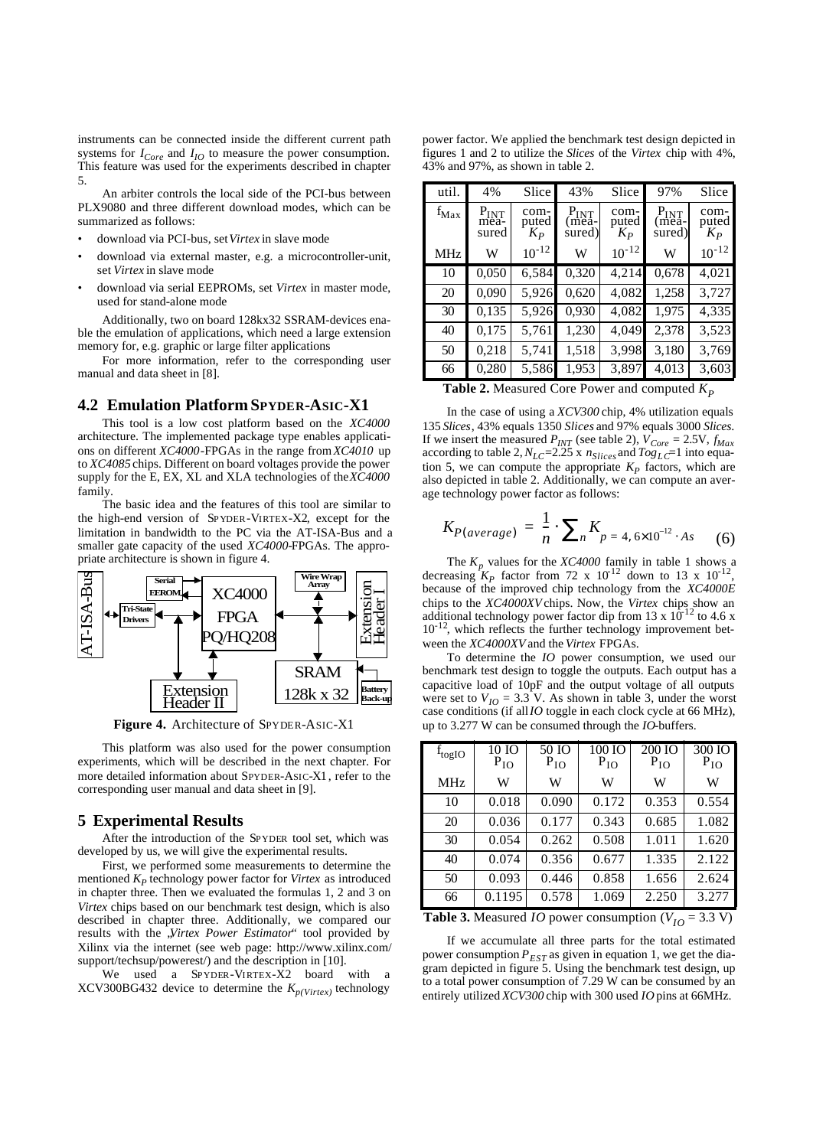instruments can be connected inside the different current path systems for  $I_{Core}$  and  $I_{IO}$  to measure the power consumption. This feature was used for the experiments described in chapter 5.

An arbiter controls the local side of the PCI-bus between PLX9080 and three different download modes, which can be summarized as follows:

- download via PCI-bus, set *Virtex* in slave mode
- download via external master, e.g. a microcontroller-unit, set *Virtex* in slave mode
- download via serial EEPROMs, set *Virtex* in master mode, used for stand-alone mode

Additionally, two on board 128kx32 SSRAM-devices enable the emulation of applications, which need a large extension memory for, e.g. graphic or large filter applications

For more information, refer to the corresponding user manual and data sheet in [8].

#### **4.2 Emulation Platform SPYDER-ASIC-X1**

This tool is a low cost platform based on the *XC4000* architecture. The implemented package type enables applications on different *XC4000*-FPGAs in the range from *XC4010* up to *XC4085* chips. Different on board voltages provide the power supply for the E, EX, XL and XLA technologies of the *XC4000* family.

The basic idea and the features of this tool are similar to the high-end version of SPYDER-VIRTEX-X2, except for the limitation in bandwidth to the PC via the AT-ISA-Bus and a smaller gate capacity of the used *XC4000-*FPGAs. The appropriate architecture is shown in figure 4.



**Figure 4.** Architecture of SPYDER-ASIC-X1

This platform was also used for the power consumption experiments, which will be described in the next chapter. For more detailed information about SPYDER-ASIC-X1, refer to the corresponding user manual and data sheet in [9].

#### **5 Experimental Results**

After the introduction of the SPYDER tool set, which was developed by us, we will give the experimental results.

First, we performed some measurements to determine the mentioned *K<sup>P</sup>* technology power factor for *Virtex* as introduced in chapter three. Then we evaluated the formulas 1, 2 and 3 on *Virtex* chips based on our benchmark test design, which is also described in chapter three. Additionally, we compared our results with the *Virtex Power Estimator*" tool provided by Xilinx via the internet (see web page: http://www.xilinx.com/ support/techsup/powerest/) and the description in [10].

We used a SPYDER-VIRTEX-X2 board with a XCV300BG432 device to determine the  $K_{p(Vinter)}$  technology

power factor. We applied the benchmark test design depicted in figures 1 and 2 to utilize the *Slices* of the *Virtex* chip with 4%, 43% and 97%, as shown in table 2.

| util.     | 4%                         | Slice                  | 43%                                 | Slice                    | 97%                                 | Slice                  |
|-----------|----------------------------|------------------------|-------------------------------------|--------------------------|-------------------------------------|------------------------|
| $f_{Max}$ | $P_{INT}$<br>mea-<br>sured | com-<br>puted<br>$K_P$ | $P_{\text{INT}}$<br>(meã-<br>sured) | com-<br>puted<br>$K_{P}$ | $P_{\text{INT}}$<br>(meã-<br>sured) | com-<br>puted<br>$K_P$ |
| MHz       | W                          | $10^{-12}$             | W                                   | $10^{-12}$               | W                                   | $10^{-12}$             |
| 10        | 0,050                      | 6,584                  | 0,320                               | 4,214                    | 0,678                               | 4,021                  |
| 20        | 0,090                      | 5,926                  | 0,620                               | 4,082                    | 1,258                               | 3,727                  |
| 30        | 0,135                      | 5,926                  | 0,930                               | 4,082                    | 1,975                               | 4,335                  |
| 40        | 0,175                      | 5,761                  | 1,230                               | 4,049                    | 2,378                               | 3,523                  |
| 50        | 0,218                      | 5,741                  | 1,518                               | 3,998                    | 3,180                               | 3,769                  |
| 66        | 0,280                      | 5,586                  | 1,953                               | 3,897                    | 4,013                               | 3,603                  |

**Table 2.** Measured Core Power and computed  $K_p$ 

In the case of using a *XCV300* chip, 4% utilization equals 135 *Slices*, 43% equals 1350 *Slices* and 97% equals 3000 *Slices*. If we insert the measured  $P_{INT}$  (see table 2),  $\dot{V}_{Core} = 2.5V$ ,  $f_{Max}$ according to table 2,  $N_{LC}$ =2.25 x  $n_{Slices}$  and  $Tog_{LC}$ =1 into equation 5, we can compute the appropriate  $K_p$  factors, which are also depicted in table 2. Additionally, we can compute an average technology power factor as follows:

$$
K_{P(average)} = \frac{1}{n} \cdot \sum_{n} K_{p=4,6 \times 10^{-12} \cdot As} \quad (6)
$$

The  $K_p$  values for the *XC4000* family in table 1 shows a decreasing  $K_p$  factor from 72 x  $10^{12}$  down to 13 x  $10^{-12}$ , because of the improved chip technology from the *XC4000E* chips to the *XC4000XV* chips. Now, the *Virtex* chips show an additional technology power factor dip from 13 x 10<sup>-12</sup> to 4.6 x  $10^{-12}$ , which reflects the further technology improvement between the *XC4000XV* and the *Virtex* FPGAs.

To determine the *IO* power consumption, we used our benchmark test design to toggle the outputs. Each output has a capacitive load of 10pF and the output voltage of all outputs were set to  $V_{IO} = 3.3$  V. As shown in table 3, under the worst case conditions (if all *IO* toggle in each clock cycle at 66 MHz), up to 3.277 W can be consumed through the *IO*-buffers.

| $f_{\text{togIO}}$ | 10 IO<br>$P_{IO}$ | 50 IO<br>$P_{IO}$ | 100 IO<br>$P_{IO}$ | $200$ IO<br>$P_{IO}$ | 300 IO<br>$P_{IO}$ |
|--------------------|-------------------|-------------------|--------------------|----------------------|--------------------|
| MHz                | W                 | W                 | W                  | W                    | W                  |
| 10                 | 0.018             | 0.090             | 0.172              | 0.353                | 0.554              |
| 20                 | 0.036             | 0.177             | 0.343              | 0.685                | 1.082              |
| 30                 | 0.054             | 0.262             | 0.508              | 1.011                | 1.620              |
| 40                 | 0.074             | 0.356             | 0.677              | 1.335                | 2.122              |
| 50                 | 0.093             | 0.446             | 0.858              | 1.656                | 2.624              |
| 66                 | 0.1195            | 0.578             | 1.069              | 2.250                | 3.277              |

**Table 3.** Measured *IO* power consumption ( $V_{IO} = 3.3$  V)

If we accumulate all three parts for the total estimated power consumption  $P_{EST}$  as given in equation 1, we get the diagram depicted in figure 5. Using the benchmark test design, up to a total power consumption of 7.29 W can be consumed by an entirely utilized *XCV300* chip with 300 used *IO* pins at 66MHz.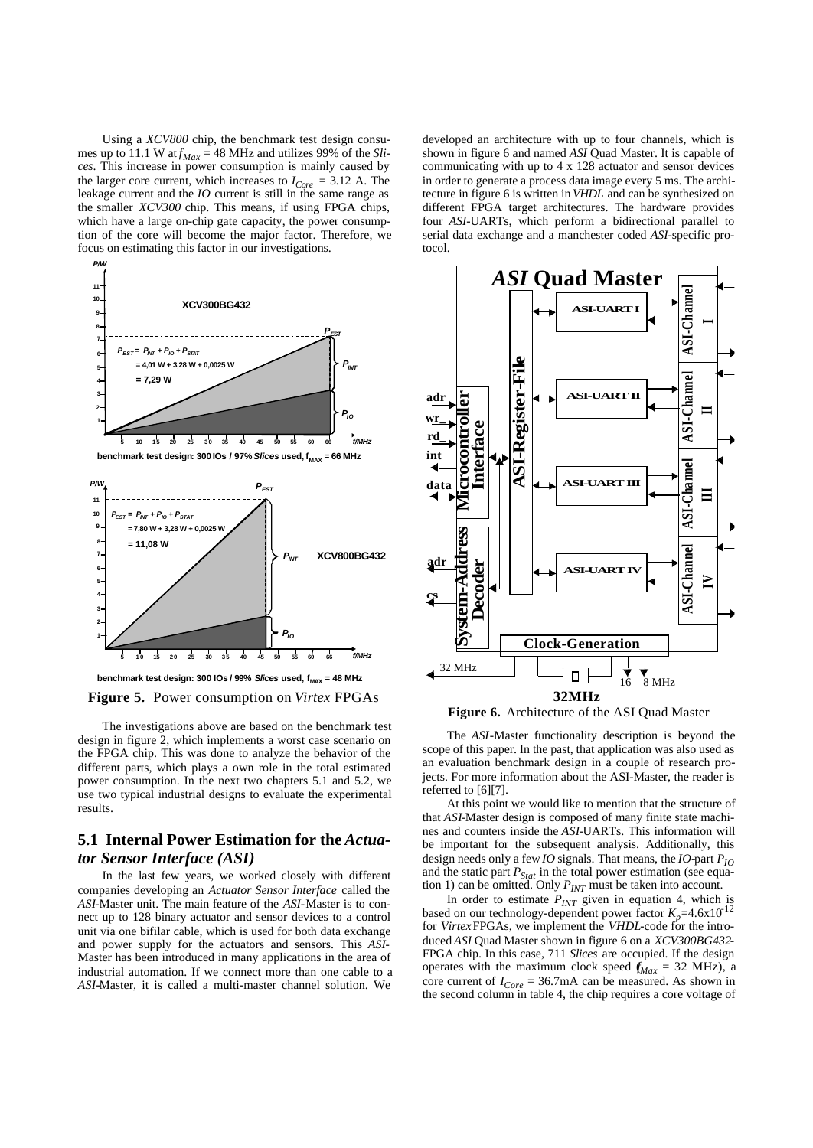Using a *XCV800* chip, the benchmark test design consumes up to 11.1 W at  $f_{Max} = 48$  MHz and utilizes 99% of the *Slices*. This increase in power consumption is mainly caused by the larger core current, which increases to  $I_{Core} = 3.12$  A. The leakage current and the *IO* current is still in the same range as the smaller *XCV300* chip. This means, if using FPGA chips, which have a large on-chip gate capacity, the power consumption of the core will become the major factor. Therefore, we focus on estimating this factor in our investigations.



*P/W*

**benchmark test design: 300 IOs / 97%** *Slices* **used,**  $f_{MAX} = 66$  **MHz** 



**Figure 5.** Power consumption on *Virtex* FPGAs

The investigations above are based on the benchmark test design in figure 2, which implements a worst case scenario on the FPGA chip. This was done to analyze the behavior of the different parts, which plays a own role in the total estimated power consumption. In the next two chapters 5.1 and 5.2, we use two typical industrial designs to evaluate the experimental results.

## **5.1 Internal Power Estimation for the** *Actuator Sensor Interface (ASI)*

In the last few years, we worked closely with different companies developing an *Actuator Sensor Interface* called the *ASI*-Master unit. The main feature of the *ASI-*Master is to connect up to 128 binary actuator and sensor devices to a control unit via one bifilar cable, which is used for both data exchange and power supply for the actuators and sensors. This *ASI*-Master has been introduced in many applications in the area of industrial automation. If we connect more than one cable to a *ASI-*Master, it is called a multi-master channel solution. We

developed an architecture with up to four channels, which is shown in figure 6 and named *ASI* Quad Master. It is capable of communicating with up to 4 x 128 actuator and sensor devices in order to generate a process data image every 5 ms. The architecture in figure 6 is written in *VHDL* and can be synthesized on different FPGA target architectures. The hardware provides four *ASI*-UARTs, which perform a bidirectional parallel to serial data exchange and a manchester coded *ASI-*specific protocol.



The *ASI*-Master functionality description is beyond the

scope of this paper. In the past, that application was also used as an evaluation benchmark design in a couple of research projects. For more information about the ASI-Master, the reader is referred to [6][7].

At this point we would like to mention that the structure of that *ASI*-Master design is composed of many finite state machines and counters inside the *ASI-*UARTs. This information will be important for the subsequent analysis. Additionally, this design needs only a few *IO* signals. That means, the *IO-*part *PIO* and the static part  $P_{Stat}$  in the total power estimation (see equation 1) can be omitted. Only *PINT* must be taken into account.

In order to estimate  $P_{INT}$  given in equation 4, which is based on our technology-dependent power factor  $K_p = 4.6 \times 10^{-12}$ for *Virtex* FPGAs, we implement the *VHDL*-code for the introduced *ASI* Quad Master shown in figure 6 on a *XCV300BG432*- FPGA chip. In this case, 711 *Slices* are occupied. If the design operates with the maximum clock speed  $f_{Max} = 32 \text{ MHz}$ , a core current of  $I_{Core} = 36.7 \text{mA}$  can be measured. As shown in the second column in table 4, the chip requires a core voltage of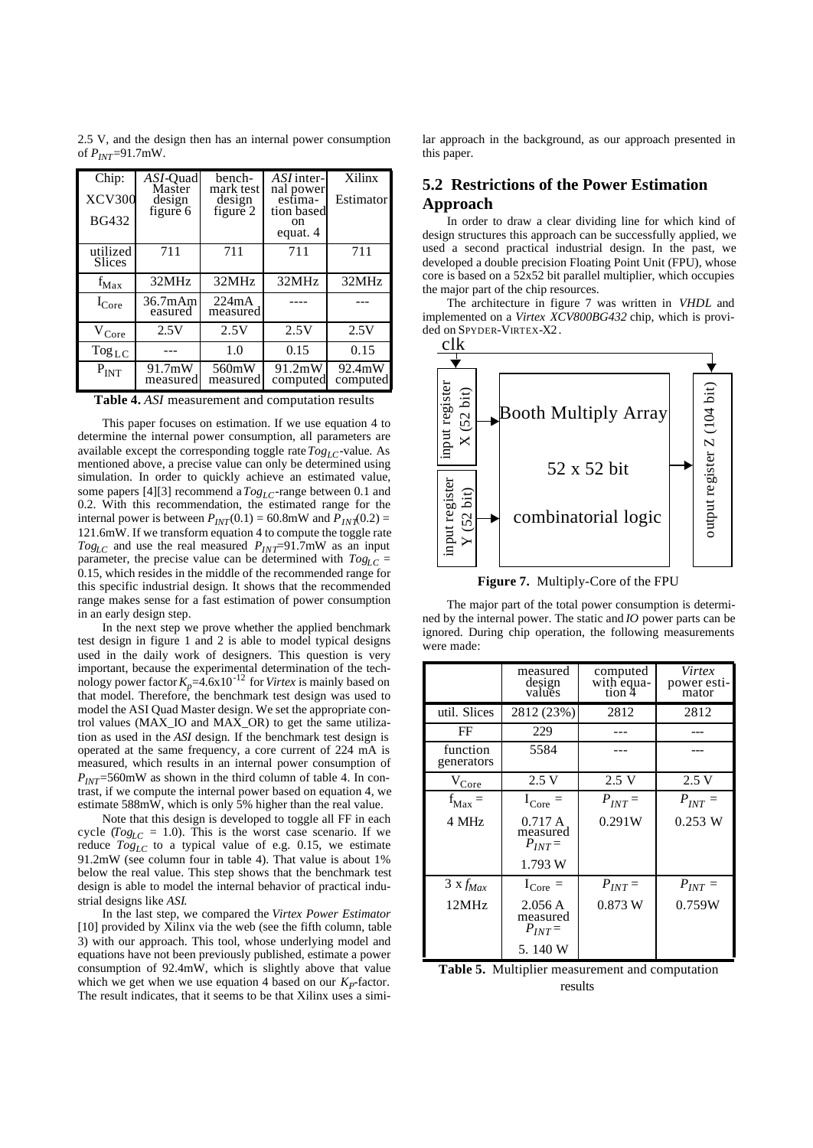2.5 V, and the design then has an internal power consumption of  $P_{INT}$ =91.7mW.

| Chip:<br><b>XCV300</b><br><b>BG432</b> | ASI-Ouad<br>Master<br>design<br>figure 6 | bench-<br>mark test<br>design<br>figure 2 | ASI inter-<br>nal power<br>estima-<br>tion based<br>on<br>equat. 4 | Xilinx<br>Estimator |
|----------------------------------------|------------------------------------------|-------------------------------------------|--------------------------------------------------------------------|---------------------|
| utilized<br><b>Slices</b>              | 711                                      | 711                                       | 711                                                                | 711                 |
| $f_{Max}$                              | 32MHz                                    | 32MHz                                     | 32MHz                                                              | 32MHz               |
| $I_{\rm Core}$                         | 36.7mAm<br>easured                       | 224mA<br>measured                         |                                                                    |                     |
| $V_{Core}$                             | 2.5V                                     | 2.5V                                      | 2.5V                                                               | 2.5V                |
| $\log_{LC}$                            |                                          | 1.0                                       | 0.15                                                               | 0.15                |
| $P_{INT}$                              | 91.7mW<br>measured                       | 560mW<br>measured                         | 91.2mW<br>computed                                                 | 92.4mW<br>computed  |

**Table 4.** *ASI* measurement and computation results

This paper focuses on estimation. If we use equation 4 to determine the internal power consumption, all parameters are available except the corresponding toggle rate  $Tog<sub>L</sub>C$ -value. As mentioned above, a precise value can only be determined using simulation. In order to quickly achieve an estimated value, some papers [4][3] recommend a *TogLC*-range between 0.1 and 0.2. With this recommendation, the estimated range for the internal power is between  $P_{INT}(0.1) = 60.8$ mW and  $P_{INT}(0.2) =$ 121.6mW. If we transform equation 4 to compute the toggle rate  $Tog<sub>LC</sub>$  and use the real measured  $P<sub>INT</sub>=91.7$ mW as an input parameter, the precise value can be determined with  $Tog<sub>LC</sub>$  = 0.15, which resides in the middle of the recommended range for this specific industrial design. It shows that the recommended range makes sense for a fast estimation of power consumption in an early design step.

In the next step we prove whether the applied benchmark test design in figure 1 and 2 is able to model typical designs used in the daily work of designers. This question is very important, because the experimental determination of the tech-<br>nology power factor  $K_p$ =4.6x10<sup>-12</sup> for *Virtex* is mainly based on that model. Therefore, the benchmark test design was used to model the ASI Quad Master design. We set the appropriate control values (MAX\_IO and MAX\_OR) to get the same utilization as used in the *ASI* design. If the benchmark test design is operated at the same frequency, a core current of 224 mA is measured, which results in an internal power consumption of  $P_{INT}$ =560mW as shown in the third column of table 4. In contrast, if we compute the internal power based on equation 4, we estimate 588mW, which is only 5% higher than the real value.

Note that this design is developed to toggle all FF in each cycle ( $Tog<sub>LC</sub> = 1.0$ ). This is the worst case scenario. If we reduce  $T_{Og_{LC}}$  to a typical value of e.g. 0.15, we estimate 91.2mW (see column four in table 4). That value is about 1% below the real value. This step shows that the benchmark test design is able to model the internal behavior of practical industrial designs like *ASI*.

In the last step, we compared the *Virtex Power Estimator* [10] provided by Xilinx via the web (see the fifth column, table 3) with our approach. This tool, whose underlying model and equations have not been previously published, estimate a power consumption of 92.4mW, which is slightly above that value which we get when we use equation 4 based on our  $K_p$ -factor. The result indicates, that it seems to be that Xilinx uses a similar approach in the background, as our approach presented in this paper.

## **5.2 Restrictions of the Power Estimation Approach**

In order to draw a clear dividing line for which kind of design structures this approach can be successfully applied, we used a second practical industrial design. In the past, we developed a double precision Floating Point Unit (FPU), whose core is based on a 52x52 bit parallel multiplier, which occupies the major part of the chip resources.

The architecture in figure 7 was written in *VHDL* and implemented on a *Virtex XCV800BG432* chip, which is provided on SPYDER-VIRTEX-X2.



**Figure 7.** Multiply-Core of the FPU

The major part of the total power consumption is determined by the internal power. The static and *IO* power parts can be ignored. During chip operation, the following measurements were made:

|                        | measured<br>design<br>values                 | computed<br>with equa-<br>tion 4 | Virtex<br>power esti-<br>mator |
|------------------------|----------------------------------------------|----------------------------------|--------------------------------|
| util. Slices           | 2812 (23%)                                   | 2812                             | 2812                           |
| FF                     | 229                                          |                                  |                                |
| function<br>generators | 5584                                         |                                  |                                |
| $V_{\text{Core}}$      | 2.5V                                         | 2.5V                             | 2.5V                           |
| $f_{\text{Max}} =$     | $I_{\text{Core}} =$                          | $P_{INT}$ =                      | $P_{INT} =$                    |
| 4 MHz                  | 0.717A<br>measured<br>$P_{INT} =$<br>1.793 W | 0.291W                           | 0.253 W                        |
| $3 x f_{Max}$          | $I_{\text{Core}} =$                          | $P_{INT} =$                      | $P_{INT} =$                    |
| 12MHz                  | 2.056A<br>measured<br>$P_{INT}$<br>5.140 W   | 0.873 W                          | 0.759W                         |

**Table 5.** Multiplier measurement and computation results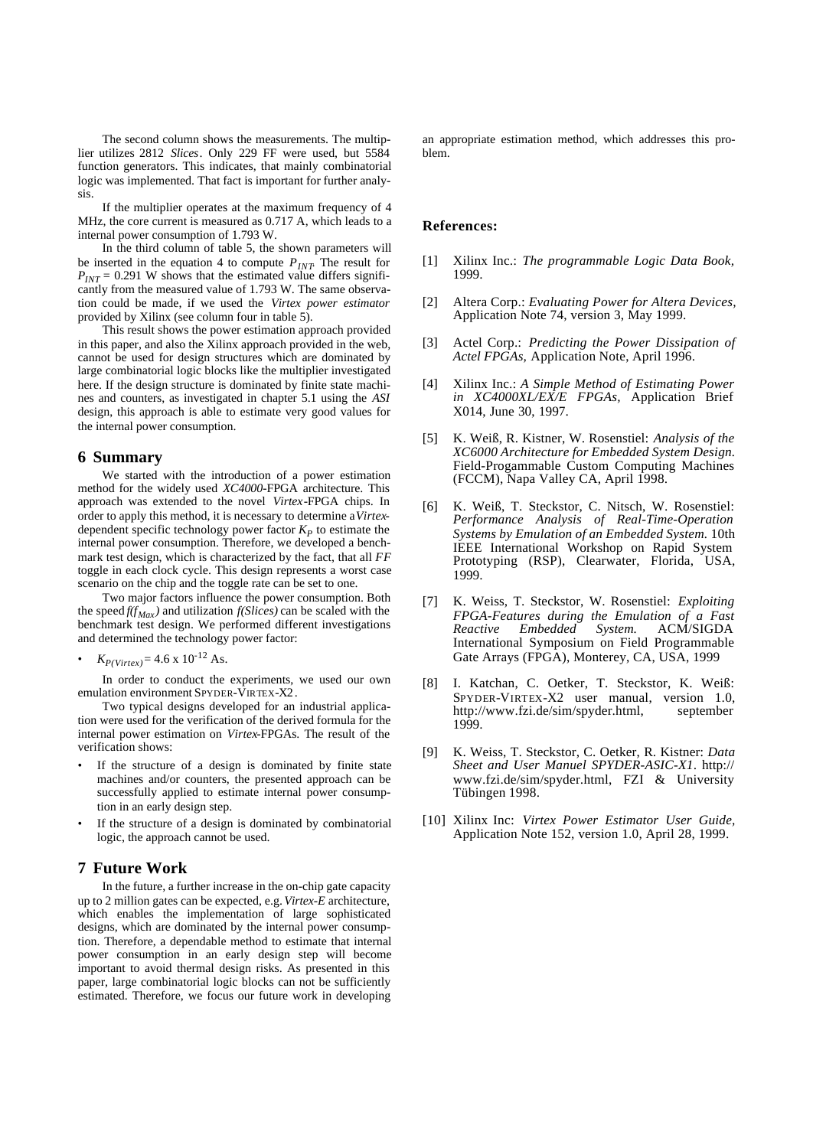The second column shows the measurements. The multiplier utilizes 2812 *Slices*. Only 229 FF were used, but 5584 function generators. This indicates, that mainly combinatorial logic was implemented. That fact is important for further analysis.

If the multiplier operates at the maximum frequency of 4 MHz, the core current is measured as 0.717 A, which leads to a internal power consumption of 1.793 W.

In the third column of table 5, the shown parameters will be inserted in the equation 4 to compute *PINT*. The result for  $P_{INT} = 0.291$  W shows that the estimated value differs significantly from the measured value of 1.793 W. The same observation could be made, if we used the *Virtex power estimator* provided by Xilinx (see column four in table 5).

This result shows the power estimation approach provided in this paper, and also the Xilinx approach provided in the web, cannot be used for design structures which are dominated by large combinatorial logic blocks like the multiplier investigated here. If the design structure is dominated by finite state machines and counters, as investigated in chapter 5.1 using the *ASI* design, this approach is able to estimate very good values for the internal power consumption.

#### **6 Summary**

We started with the introduction of a power estimation method for the widely used *XC4000*-FPGA architecture. This approach was extended to the novel *Virtex*-FPGA chips. In order to apply this method, it is necessary to determine a *Virtex*dependent specific technology power factor *K<sup>P</sup>* to estimate the internal power consumption. Therefore, we developed a benchmark test design, which is characterized by the fact, that all *FF* toggle in each clock cycle. This design represents a worst case scenario on the chip and the toggle rate can be set to one.

Two major factors influence the power consumption. Both the speed  $f(f_{\text{Max}})$  and utilization  $f(Slices)$  can be scaled with the benchmark test design. We performed different investigations and determined the technology power factor:

 $K_{P(Virtextrm{tex})} = 4.6 \times 10^{-12} \text{ As.}$ 

In order to conduct the experiments, we used our own emulation environment SPYDER-VIRTEX-X2.

Two typical designs developed for an industrial application were used for the verification of the derived formula for the internal power estimation on *Virtex*-FPGAs. The result of the verification shows:

- If the structure of a design is dominated by finite state machines and/or counters, the presented approach can be successfully applied to estimate internal power consumption in an early design step.
- If the structure of a design is dominated by combinatorial logic, the approach cannot be used.

### **7 Future Work**

In the future, a further increase in the on-chip gate capacity up to 2 million gates can be expected, e.g. *Virtex-E* architecture, which enables the implementation of large sophisticated designs, which are dominated by the internal power consumption. Therefore, a dependable method to estimate that internal power consumption in an early design step will become important to avoid thermal design risks. As presented in this paper, large combinatorial logic blocks can not be sufficiently estimated. Therefore, we focus our future work in developing an appropriate estimation method, which addresses this problem.

#### **References:**

- [1] Xilinx Inc.: *The programmable Logic Data Book,* 1999.
- [2] Altera Corp.: *Evaluating Power for Altera Devices,* Application Note 74, version 3, May 1999.
- [3] Actel Corp.: *Predicting the Power Dissipation of Actel FPGAs,* Application Note, April 1996.
- [4] Xilinx Inc.: *A Simple Method of Estimating Power in XC4000XL/EX/E FPGAs,* Application Brief X014, June 30, 1997.
- [5] K. Weiß, R. Kistner, W. Rosenstiel: *Analysis of the XC6000 Architecture for Embedded System Design.* Field-Progammable Custom Computing Machines (FCCM), Napa Valley CA, April 1998.
- [6] K. Weiß, T. Steckstor, C. Nitsch, W. Rosenstiel: *Performance Analysis of Real-Time-Operation Systems by Emulation of an Embedded System.* 10th IEEE International Workshop on Rapid System Prototyping (RSP), Clearwater, Florida, USA, 1999.
- [7] K. Weiss, T. Steckstor, W. Rosenstiel: *Exploiting FPGA-Features during the Emulation of a Fast Reactive Embedded System.* International Symposium on Field Programmable Gate Arrays (FPGA), Monterey, CA, USA, 1999
- [8] I. Katchan, C. Oetker, T. Steckstor, K. Weiß: SPYDER-VIRTEX-X2 user manual, version 1.0, http://www.fzi.de/sim/spyder.html, september 1999.
- [9] K. Weiss, T. Steckstor, C. Oetker, R. Kistner: *Data Sheet and User Manuel SPYDER-ASIC-X1*. http:// www.fzi.de/sim/spyder.html, FZI & University Tübingen 1998.
- [10] Xilinx Inc: *Virtex Power Estimator User Guide,* Application Note 152, version 1.0, April 28, 1999.